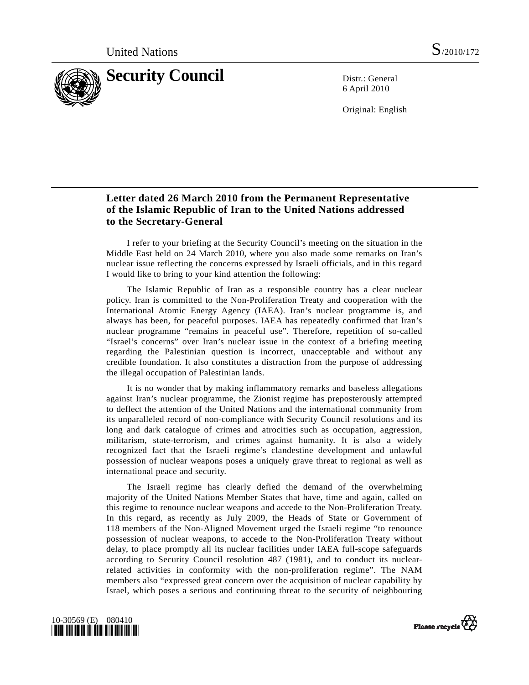

6 April 2010

Original: English

## **Letter dated 26 March 2010 from the Permanent Representative of the Islamic Republic of Iran to the United Nations addressed to the Secretary-General**

 I refer to your briefing at the Security Council's meeting on the situation in the Middle East held on 24 March 2010, where you also made some remarks on Iran's nuclear issue reflecting the concerns expressed by Israeli officials, and in this regard I would like to bring to your kind attention the following:

 The Islamic Republic of Iran as a responsible country has a clear nuclear policy. Iran is committed to the Non-Proliferation Treaty and cooperation with the International Atomic Energy Agency (IAEA). Iran's nuclear programme is, and always has been, for peaceful purposes. IAEA has repeatedly confirmed that Iran's nuclear programme "remains in peaceful use". Therefore, repetition of so-called "Israel's concerns" over Iran's nuclear issue in the context of a briefing meeting regarding the Palestinian question is incorrect, unacceptable and without any credible foundation. It also constitutes a distraction from the purpose of addressing the illegal occupation of Palestinian lands.

 It is no wonder that by making inflammatory remarks and baseless allegations against Iran's nuclear programme, the Zionist regime has preposterously attempted to deflect the attention of the United Nations and the international community from its unparalleled record of non-compliance with Security Council resolutions and its long and dark catalogue of crimes and atrocities such as occupation, aggression, militarism, state-terrorism, and crimes against humanity. It is also a widely recognized fact that the Israeli regime's clandestine development and unlawful possession of nuclear weapons poses a uniquely grave threat to regional as well as international peace and security.

 The Israeli regime has clearly defied the demand of the overwhelming majority of the United Nations Member States that have, time and again, called on this regime to renounce nuclear weapons and accede to the Non-Proliferation Treaty. In this regard, as recently as July 2009, the Heads of State or Government of 118 members of the Non-Aligned Movement urged the Israeli regime "to renounce possession of nuclear weapons, to accede to the Non-Proliferation Treaty without delay, to place promptly all its nuclear facilities under IAEA full-scope safeguards according to Security Council resolution 487 (1981), and to conduct its nuclearrelated activities in conformity with the non-proliferation regime". The NAM members also "expressed great concern over the acquisition of nuclear capability by Israel, which poses a serious and continuing threat to the security of neighbouring